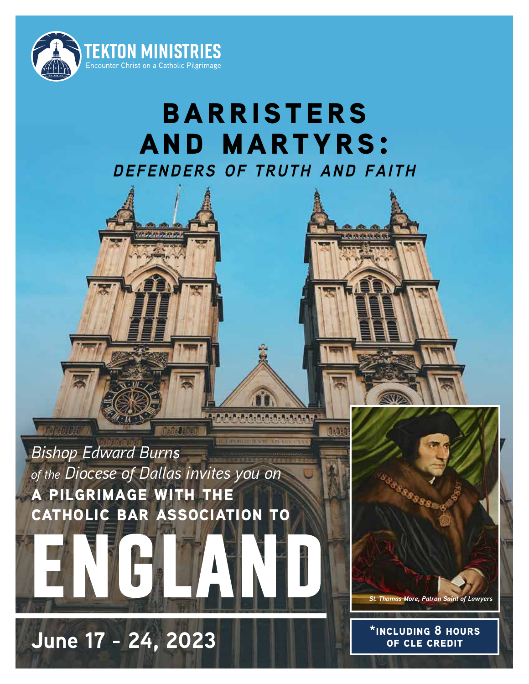

# **barristers and martyrs:** *defenders of truth and faith*

A.A.A.A.A.A.A.A.A.A.A.A.A.



Chinese Cell

**June 17 - 24, 2023**

**CONTRACTOR** 

**\*including 8 hours** 

*St. Thomas More, Patron Saint of Lawyers*

SSSSSSSS

**of cle credit**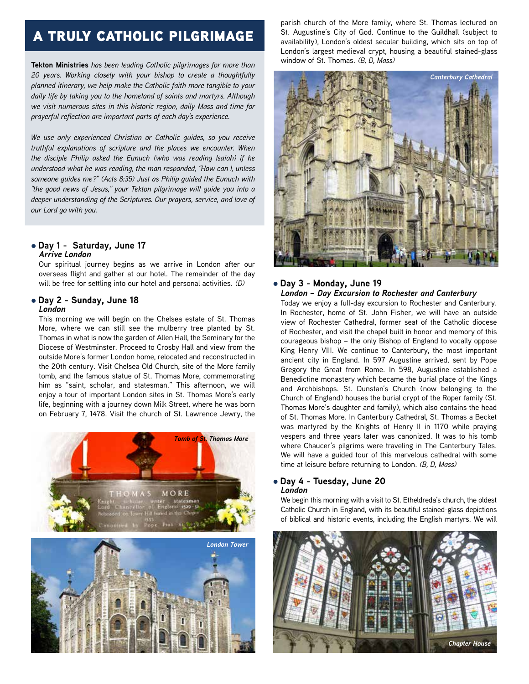## a truly catholic pilgrimage

**Tekton Ministries** *has been leading Catholic pilgrimages for more than 20 years. Working closely with your bishop to create a thoughtfully planned itinerary, we help make the Catholic faith more tangible to your daily life by taking you to the homeland of saints and martyrs. Although we visit numerous sites in this historic region, daily Mass and time for prayerful reflection are important parts of each day's experience.*

*We use only experienced Christian or Catholic guides, so you receive truthful explanations of scripture and the places we encounter. When the disciple Philip asked the Eunuch (who was reading Isaiah) if he understood what he was reading, the man responded, "How can I, unless someone guides me?" (Acts 8:35) Just as Philip guided the Eunuch with "the good news of Jesus," your Tekton pilgrimage will guide you into a deeper understanding of the Scriptures. Our prayers, service, and love of our Lord go with you.*

### l **Day 1 - Saturday, June 17** *Arrive London*

Our spiritual journey begins as we arrive in London after our overseas flight and gather at our hotel. The remainder of the day will be free for settling into our hotel and personal activities. *(D)*

### l **Day 2 - Sunday, June 18**

### *London*

This morning we will begin on the Chelsea estate of St. Thomas More, where we can still see the mulberry tree planted by St. Thomas in what is now the garden of Allen Hall, the Seminary for the Diocese of Westminster. Proceed to Crosby Hall and view from the outside More's former London home, relocated and reconstructed in the 20th century. Visit Chelsea Old Church, site of the More family tomb, and the famous statue of St. Thomas More, commemorating him as "saint, scholar, and statesman." This afternoon, we will enjoy a tour of important London sites in St. Thomas More's early life, beginning with a journey down Milk Street, where he was born on February 7, 1478. Visit the church of St. Lawrence Jewry, the





parish church of the More family, where St. Thomas lectured on St. Augustine's City of God. Continue to the Guildhall (subject to availability), London's oldest secular building, which sits on top of London's largest medieval crypt, housing a beautiful stained-glass window of St. Thomas. *(B, D, Mass)*



### l **Day 3 - Monday, June 19** *London – Day Excursion to Rochester and Canterbury*

Today we enjoy a full-day excursion to Rochester and Canterbury. In Rochester, home of St. John Fisher, we will have an outside view of Rochester Cathedral, former seat of the Catholic diocese of Rochester, and visit the chapel built in honor and memory of this courageous bishop – the only Bishop of England to vocally oppose King Henry VIII. We continue to Canterbury, the most important ancient city in England. In 597 Augustine arrived, sent by Pope Gregory the Great from Rome. In 598, Augustine established a Benedictine monastery which became the burial place of the Kings and Archbishops. St. Dunstan's Church (now belonging to the Church of England) houses the burial crypt of the Roper family (St. Thomas More's daughter and family), which also contains the head of St. Thomas More. In Canterbury Cathedral, St. Thomas a Becket was martyred by the Knights of Henry II in 1170 while praying vespers and three years later was canonized. It was to his tomb where Chaucer's pilgrims were traveling in The Canterbury Tales. We will have a guided tour of this marvelous cathedral with some time at leisure before returning to London. *(B, D, Mass)*

#### l **Day 4 - Tuesday, June 20** *London*

We begin this morning with a visit to St. Etheldreda's church, the oldest Catholic Church in England, with its beautiful stained-glass depictions of biblical and historic events, including the English martyrs. We will

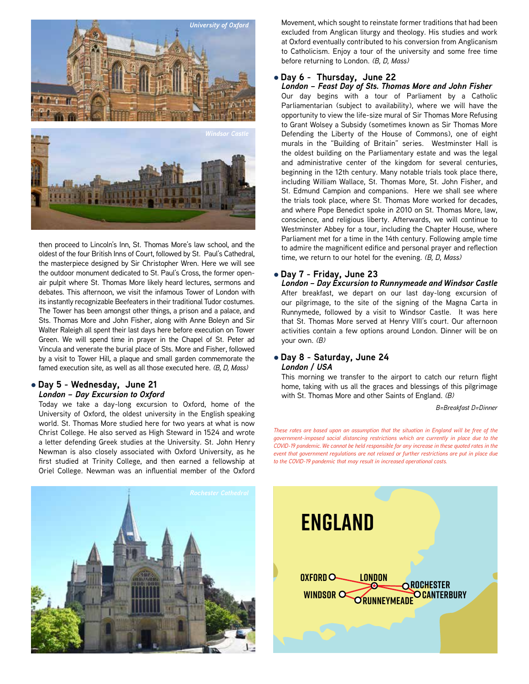



then proceed to Lincoln's Inn, St. Thomas More's law school, and the oldest of the four British Inns of Court, followed by St. Paul's Cathedral, the masterpiece designed by Sir Christopher Wren. Here we will see the outdoor monument dedicated to St. Paul's Cross, the former openair pulpit where St. Thomas More likely heard lectures, sermons and debates. This afternoon, we visit the infamous Tower of London with debates. This afternoon, we visit the infamous Tower of London with<br>its instantly recognizable Beefeaters in their traditional Tudor costumes.<br>The Tower has been amongst other things, a prison and a palace, and The Tower has been amongst other things, a prison and a palace, and Sts. Thomas More and John Fisher, along with Anne Boleyn and Sir Walter Raleigh all spent their last days here before execution on Tower Green. We will spend time in prayer in the Chapel of St. Peter ad Vincula and venerate the burial place of Sts. More and Fisher, followed by a visit to Tower Hill, a plaque and small garden commemorate the famed execution site, as well as all those executed here. *(B, D, Mass)*

### l **Day 5 - Wednesday, June 21**

*London – Day Excursion to Oxford*

Today we take a day-long excursion to Oxford, home of the University of Oxford, the oldest university in the English speaking world. St. Thomas More studied here for two years at what is now Christ College. He also served as High Steward in 1524 and wrote a letter defending Greek studies at the University. St. John Henry Newman is also closely associated with Oxford University, as he<br>first studied at Trinity College, and then earned a fellowship at first studied at Trinity College, and then earned a fellowship at Oriel College. Newman was an influential member of the Oxford

Movement, which sought to reinstate former traditions that had been excluded from Anglican liturgy and theology. His studies and work at Oxford eventually contributed to his conversion from Anglicanism to Catholicism. Enjoy a tour of the university and some free time before returning to London. *(B, D, Mass)*

### l **Day 6 - Thursday, June 22**

*London – Feast Day of Sts. Thomas More and John Fisher*

Our day begins with a tour of Parliament by a Catholic Parliamentarian (subject to availability), where we will have the opportunity to view the life-size mural of Sir Thomas More Refusing to Grant Wolsey a Subsidy (sometimes known as Sir Thomas More Defending the Liberty of the House of Commons), one of eight murals in the "Building of Britain" series. Westminster Hall is the oldest building on the Parliamentary estate and was the legal and administrative center of the kingdom for several centuries, beginning in the 12th century. Many notable trials took place there, including William Wallace, St. Thomas More, St. John Fisher, and St. Edmund Campion and companions. Here we shall see where the trials took place, where St. Thomas More worked for decades, and where Pope Benedict spoke in 2010 on St. Thomas More, law, conscience, and religious liberty. Afterwards, we will continue to Westminster Abbey for a tour, including the Chapter House, where Parliament met for a time in the 14th century. Following ample time to admire the magnificent edifice and personal prayer and reflection time, we return to our hotel for the evening. *(B, D, Mass)*

### l **Day 7 - Friday, June 23**

*London – Day Excursion to Runnymeade and Windsor Castle* After breakfast, we depart on our last day-long excursion of our pilgrimage, to the site of the signing of the Magna Carta in Runnymede, followed by a visit to Windsor Castle. It was here that St. Thomas More served at Henry VIII's court. Our afternoon activities contain a few options around London. Dinner will be on your own. *(B)*

#### l **Day 8 - Saturday, June 24** *London / USA*

This morning we transfer to the airport to catch our return flight home, taking with us all the graces and blessings of this pilgrimage with St. Thomas More and other Saints of England. *(B)*

*B=Breakfast D=Dinner*

*These rates are based upon an assumption that the situation in England will be free of the government-imposed social distancing restrictions which are currently in place due to the COVID-19 pandemic. We cannot be held responsible for any increase in these quoted rates in the event that government regulations are not relaxed or further restrictions are put in place due to the COVID-19 pandemic that may result in increased operational costs.*